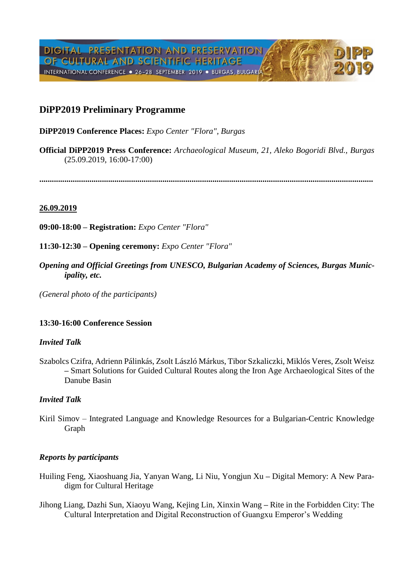# **DiPP2019 Preliminary Programme**

**DiPP2019 Conference Places:** *Expo Center "Flora", Burgas*

**Official DiPP2019 Press Conference:** *Archaeological Museum, 21, Aleko Bogoridi Blvd., Burgas* (25.09.2019, 16:00-17:00)

**................................................................................................................................................................**

### **26.09.2019**

**09:00-18:00 – Registration:** *Expo Center "Flora"*

**11:30-12:30 – Opening ceremony:** *Expo Center "Flora"*

*Opening and Official Greetings from UNESCO, Bulgarian Academy of Sciences, Burgas Municipality, etc.*

*(General photo of the participants)*

### **13:30-16:00 Conference Session**

### *Invited Talk*

Szabolcs Czifra, Adrienn Pálinkás, Zsolt László Márkus, Tibor Szkaliczki, Miklós Veres, Zsolt Weisz **–** Smart Solutions for Guided Cultural Routes along the Iron Age Archaeological Sites of the Danube Basin

## *Invited Talk*

Kiril Simov – Integrated Language and Knowledge Resources for a Bulgarian-Centric Knowledge Graph

### *Reports by participants*

- Huiling Feng, Xiaoshuang Jia, Yanyan Wang, Li Niu, Yongjun Xu **–** Digital Memory: A New Paradigm for Cultural Heritage
- Jihong Liang, Dazhi Sun, Xiaoyu Wang, Kejing Lin, Xinxin Wang **–** Rite in the Forbidden City: The Cultural Interpretation and Digital Reconstruction of Guangxu Emperor's Wedding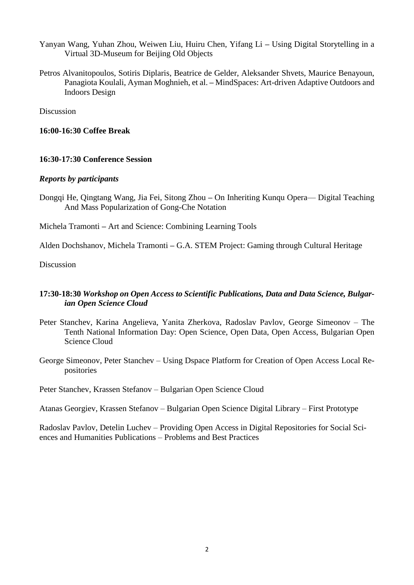- Yanyan Wang, Yuhan Zhou, Weiwen Liu, Huiru Chen, Yifang Li **–** Using Digital Storytelling in a Virtual 3D-Museum for Beijing Old Objects
- Petros Alvanitopoulos, Sotiris Diplaris, Beatrice de Gelder, Aleksander Shvets, Maurice Benayoun, Panagiota Koulali, Ayman Moghnieh, et al. **–** MindSpaces: Art-driven Adaptive Outdoors and Indoors Design

Discussion

### **16:00-16:30 Coffee Break**

### **16:30-17:30 Conference Session**

### *Reports by participants*

Dongqi He, Qingtang Wang, Jia Fei, Sitong Zhou **–** On Inheriting Kunqu Opera— Digital Teaching And Mass Popularization of Gong-Che Notation

Michela Tramonti **–** Art and Science: Combining Learning Tools

Alden Dochshanov, Michela Tramonti **–** G.A. STEM Project: Gaming through Cultural Heritage

Discussion

### **17:30-18:30** *Workshop on Open Access to Scientific Publications, Data and Data Science, Bulgarian Open Science Cloud*

- Peter Stanchev, Karina Angelieva, Yanita Zherkova, Radoslav Pavlov, George Simeonov The Tenth National Information Day: Open Science, Open Data, Open Access, Bulgarian Open Science Cloud
- George Simeonov, Peter Stanchev Using Dspace Platform for Creation of Open Access Local Repositories

Peter Stanchev, Krassen Stefanov – Bulgarian Open Science Cloud

Atanas Georgiev, Krassen Stefanov – Bulgarian Open Science Digital Library – First Prototype

Radoslav Pavlov, Detelin Luchev – Providing Open Access in Digital Repositories for Social Sciences and Humanities Publications – Problems and Best Practices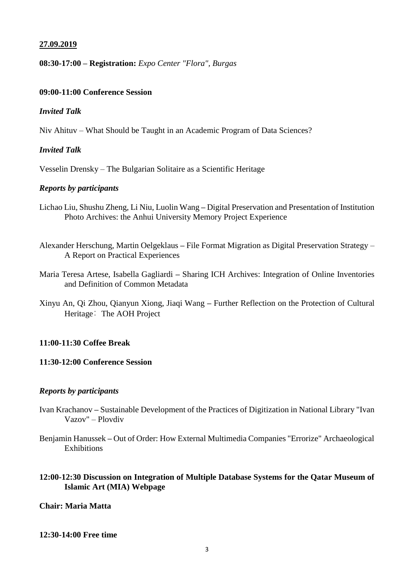### **27.09.2019**

### **08:30-17:00 – Registration:** *Expo Center "Flora", Burgas*

#### **09:00-11:00 Conference Session**

### *Invited Talk*

Niv Ahituv – What Should be Taught in an Academic Program of Data Sciences?

## *Invited Talk*

Vesselin Drensky – The Bulgarian Solitaire as a Scientific Heritage

#### *Reports by participants*

- Lichao Liu, Shushu Zheng, Li Niu, Luolin Wang **–** Digital Preservation and Presentation of Institution Photo Archives: the Anhui University Memory Project Experience
- Alexander Herschung, Martin Oelgeklaus **–** File Format Migration as Digital Preservation Strategy A Report on Practical Experiences
- Maria Teresa Artese, Isabella Gagliardi **–** Sharing ICH Archives: Integration of Online Inventories and Definition of Common Metadata
- Xinyu An, Qi Zhou, Qianyun Xiong, Jiaqi Wang **–** Further Reflection on the Protection of Cultural Heritage: The AOH Project

#### **11:00-11:30 Coffee Break**

### **11:30-12:00 Conference Session**

#### *Reports by participants*

- Ivan Krachanov **–** Sustainable Development of the Practices of Digitization in National Library "Ivan Vazov" – Plovdiv
- Benjamin Hanussek **–** Out of Order: How External Multimedia Companies "Errorize" Archaeological **Exhibitions**

## **12:00-12:30 Discussion on Integration of Multiple Database Systems for the Qatar Museum of Islamic Art (MIA) Webpage**

## **Chair: Maria Matta**

#### **12:30-14:00 Free time**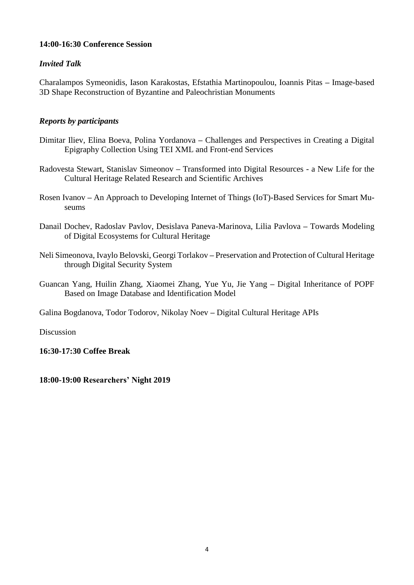## **14:00-16:30 Conference Session**

## *Invited Talk*

Charalampos Symeonidis, Iason Karakostas, Efstathia Martinopoulou, Ioannis Pitas **–** Image-based 3D Shape Reconstruction of Byzantine and Paleochristian Monuments

## *Reports by participants*

- Dimitar Iliev, Elina Boeva, Polina Yordanova **–** Challenges and Perspectives in Creating a Digital Epigraphy Collection Using TEI XML and Front-end Services
- Radovesta Stewart, Stanislav Simeonov **–** Transformed into Digital Resources a New Life for the Cultural Heritage Related Research and Scientific Archives
- Rosen Ivanov **–** An Approach to Developing Internet of Things (IoT)-Based Services for Smart Museums
- Danail Dochev, Radoslav Pavlov, Desislava Paneva-Marinova, Lilia Pavlova **–** Towards Modeling of Digital Ecosystems for Cultural Heritage
- Neli Simeonova, Ivaylo Belovski, Georgi Torlakov **–** Preservation and Protection of Cultural Heritage through Digital Security System
- Guancan Yang, Huilin Zhang, Xiaomei Zhang, Yue Yu, Jie Yang **–** Digital Inheritance of POPF Based on Image Database and Identification Model

Galina Bogdanova, Todor Todorov, Nikolay Noev **–** Digital Cultural Heritage APIs

Discussion

**16:30-17:30 Coffee Break** 

**18:00-19:00 Researchers' Night 2019**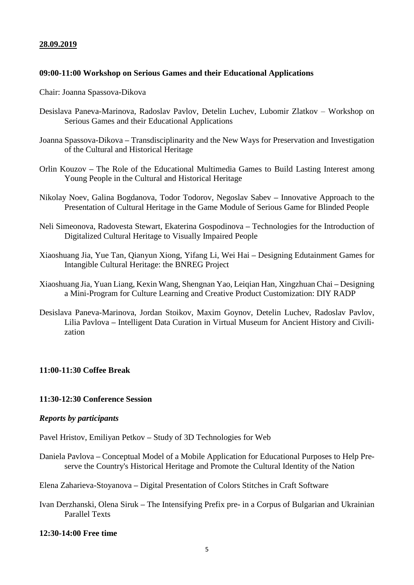### **28.09.2019**

### **09:00-11:00 Workshop on Serious Games and their Educational Applications**

Chair: Joanna Spassova-Dikova

- Desislava Paneva-Marinova, Radoslav Pavlov, Detelin Luchev, Lubomir Zlatkov Workshop on Serious Games and their Educational Applications
- Joanna Spassova-Dikova **–** Transdisciplinarity and the New Ways for Preservation and Investigation of the Cultural and Historical Heritage
- Orlin Kouzov **–** The Role of the Educational Multimedia Games to Build Lasting Interest among Young People in the Cultural and Historical Heritage
- Nikolay Noev, Galina Bogdanova, Todor Todorov, Negoslav Sabev **–** Innovative Approach to the Presentation of Cultural Heritage in the Game Module of Serious Game for Blinded People
- Neli Simeonova, Radovesta Stewart, Ekaterina Gospodinova **–** Technologies for the Introduction of Digitalized Cultural Heritage to Visually Impaired People
- Xiaoshuang Jia, Yue Tan, Qianyun Xiong, Yifang Li, Wei Hai **–** Designing Edutainment Games for Intangible Cultural Heritage: the BNREG Project
- Xiaoshuang Jia, Yuan Liang, Kexin Wang, Shengnan Yao, Leiqian Han, Xingzhuan Chai **–** Designing a Mini-Program for Culture Learning and Creative Product Customization: DIY RADP
- Desislava Paneva-Marinova, Jordan Stoikov, Maxim Goynov, Detelin Luchev, Radoslav Pavlov, Lilia Pavlova **–** Intelligent Data Curation in Virtual Museum for Ancient History and Civilization

### **11:00-11:30 Coffee Break**

### **11:30-12:30 Conference Session**

#### *Reports by participants*

Pavel Hristov, Emiliyan Petkov **–** Study of 3D Technologies for Web

Daniela Pavlova **–** Conceptual Model of a Mobile Application for Educational Purposes to Help Preserve the Country's Historical Heritage and Promote the Cultural Identity of the Nation

Elena Zaharieva-Stoyanova **–** Digital Presentation of Colors Stitches in Craft Software

Ivan Derzhanski, Olena Siruk **–** The Intensifying Prefix pre- in a Corpus of Bulgarian and Ukrainian Parallel Texts

#### **12:30-14:00 Free time**